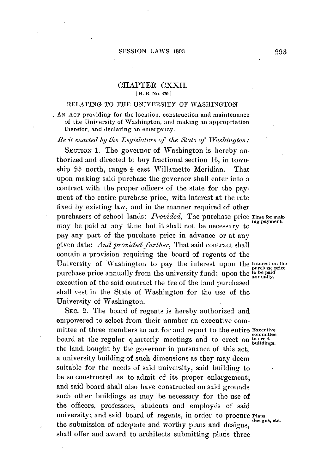# **CHAPTER** CXXII. **[H.** B. **No.** 470.]

### RELATING TO THE UNIVERSITY OF **WASHINGTON.**

**AN AcT** providing for the location, construction and maintenance of the University of Washington, and making an appropriation therefor, and declaring an emergency.

Be it enacted **by** the *Legislature* **of** *the State of* Vashington:

SECTION 1. The governor of Washington is hereby authorized and directed to buy fractional section **16,** in township 25 north, range 4 east Willamette Meridian. That upon making said purchase the governor shall enter into a contract with the proper officers of the state for the payment of the entire purchase price, with interest at the rate fixed **by** existing law, and in the manner required of other purchasers of school lands: *Provided*, The purchase price Time for makmay be paid at any time but it shall not be necessary to pay any part of the purchase price in advance or at any given date: *And provided farther,* That said contract shall contain a provision requiring the board of regents of the University of Washington to pay the interest upon the Interest on the **Purchase** price purchase price annually from the university fund; upon the **to be paid annually.** execution of the said contract the fee of the land purchased shall vest in the State of Washington for the use of the University of Washington.

SEC. 2. The board of regents is hereby authorized and empowered to select from their number an executive committee of three members to act for and report to the entire **Executive** board at the regular quarterly meetings and to erect on  $\frac{1}{10}$  buildings. the land, bought **by** the governor in pursuance of this act, a university building of such dimensions as they may deem suitable for the needs of said university, said building to be so constructed as to admit of its proper enlargement; and said board shall also have constructed on said grounds such other buildings as may be necessary for the use of the officers, professors, students and employes of said university; and said board of regents, in order to procure Plans, etc. the submission of adequate and worthy plans and designs, shall offer and award to architects submitting plans three

ing payment.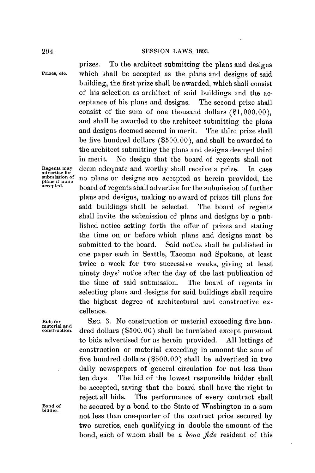## 294 **SESSION** LAWS, **1893.**

prizes. To the architect submitting the plans and designs **Prizes, etc.** which shall be accepted as the plans and designs of said building, the first prize shall be awarded, which shall consist of his selection as architect of said buildings and the acceptance of his plans and designs. The second prize shall consist of the sum of one thousand dollars **(\$1, 000.00),** and shall be awarded to the architect submitting the plans and designs deemed second in merit. The third prize shall be five hundred dollars **(\$500.00),** and shall be awarded to the architect submitting the plans and designs deemed third in merit. No design that the board of regents shall not **Regents may** deem adequate and worthy shall receive a prize. In case submission of **no** plans or designs are accepted as herein provided, the plans if none is none in  $\frac{1}{n}$  heavy depends the *accepted*. **accepted.** board of regents shall advertise for the submission of further plans and designs, making no award of prizes till plans for said buildings shall be selected. The board of regents shall invite the submission of plans and designs **by** a published notice setting forth the offer of prizes and stating the time on, or before which plans and designs must be submitted to the board. Said notice shall be published in one paper each in Seattle, Tacoma and Spokane, at least twice a week for two successive weeks, giving at least ninety days' notice after the day of the last publication of the time of said submission. The board of regents in selecting plans and designs for said buildings shall require the highest degree of architectural and constructive excellence.

**Bids for SEC. 3.** No construction or material exceeding five hun**construction.** dred dollars **(\$500.00)** shall be furnished except pursuant to bids advertised for as herein provided. **All** lettings of construction or material exceeding in amount the sum of five hundred dollars **(\$500.00)** shall be advertised in two daily newspapers of general circulation for not less than ten days. The bid of the lowest responsible bidder shall be accepted, saving that the board shall have the right to reject all bids. The performance of every contract shall Bond of **be secured by a bond to the State of Washington in a sum** bidder. not less than one-quarter of the contract price secured **by** two sureties, each qualifying in double the amount of the bond, eich of whom shall be a *bona fide* resident of this

**material and**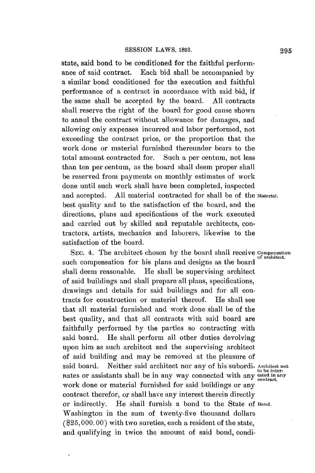state, said bond to **be** conditioned for the faithful performance of said contract. Each bid shall be accompanied **by** a similar bond conditioned for the execution and faithful performance of a contract in accordance with said bid, if the same shall be accepted **by** the board. **All** contracts shall reserve the right of the board for good cause shown to annul the contract without allowance for damages, and allowing only expenses incurred and labor performed, not exceeding the contract price, or the proportion that the work done or material furnished thereunder bears to the total amount contracted for. Such a per centum, not less than ten per centum, as the board shall deem proper shall be reserved from payments on monthly estimates of work done until such work shall have been completed, inspected and accepted. **All** material contracted for shall be of the **Material.** best quality and to the satisfaction of the board, and the directions, plans and specifications of the work executed and carried out **by** skilled and reputable architects, contractors, artists, mechanics and laborers, likewise to the satisfaction of the board.

SEc. 4. The architect chosen **by** the board shall receive **Compensation** of architect. such compensation for his plans and designs as the board shall deem reasonable. He shall be supervising architect of said buildings and shall prepare all plans, specifications, drawings and details for said buildings and for all contracts for construction or material thereof. He shall see that all material furnished and work done shall be of the best quality, and that all contracts with said board are faithfully performed **by** the parties so contracting with said board. He shall perform all other duties devolving upon him as such architect and the supervising architect of said building and may be removed at the pleasure of said board. Neither said architect nor any of his subordi- **Architect not** to be internates or assistants shall be in any way connected with any **ested in any** contract. work done or material furnished for said buildings or any contract therefor, or shall have any interest therein directly or indirectly. He shall furnish a bond to the State **of Bond.** Washington in the sum of twenty-five thousand dollars **(525, 000. 00)** with two sureties, each a resident of the state, and qualifying in twice the amount of said bond, condi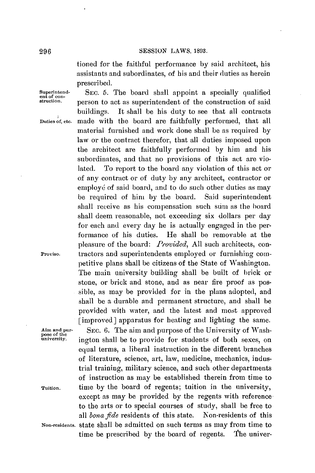tioned for the faithful performance **by** said architect, his assistants and subordinates, of his and their duties as herein prescri bed.

**pose of the**

Superintend-<br>
ent of con-<br> **SEC.** 5. The board shall appoint a specially qualified<br> **struction.** <br>
person to act as superintendent of the construction of said buildings. It shall be his duty to see that all contracts **Duties of, etc.** made with the board are faithfully performed, that all material furnished and work done shall be as required **by** law or the contract therefor, that all duties imposed upon the architect are faithfully performed **by** him and his subordinates, and that no provisions of this act are violated. To report to the board any violation of this act or of any contract or of duty **by** any architect, contractor or employé of said board, and to do such other duties as may be required of him **by** the board. Said superintendent shall receive as his compensation such sim as the board shall deem reasonable, not exceeding six dollars per day for each and every day he is actually engaged in the performance of his duties. He shall be removable at the pleasure of the board: *Provided,* **All** such architects, con-**Proviso.** tractors and superintendents employed or furnishing competitive plans shall **be** citizens of the State of Washington. The main university building shall be built of brick or stone, or brick and stone, and as near fire proof as possible, as may be provided for in the plans adopted, and shall be a durable and permanent structure, and shall be provided with water, and the latest and most approved [improved] apparatus for beating and lighting the same.

**Aim and pur-** SEC. **6.** The aim and purpose of the University of Washington shall be to provide for students of both sexes, on equal terms, a liberal instruction in the different branches of literature, science, art, law, medicine, mechanics, industrial training, military science, and such other departments of instruction as may be established therein from time to **Tuition.** time **by** the board of regents; tuition in the university, except as may **be** provided **by** the regents with reference to the arts or to special courses of study, shall be free to *all bona fde* residents of this state. Non-residents of this **Non-residents.** state shall be admitted on such terms as may from time to time **be** prescribed **by** the board of regents. The univer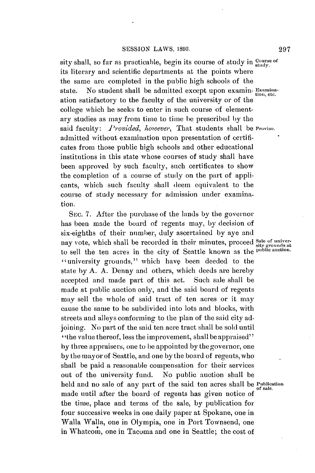sity shall, so far as practicable, begin its course of study in  $\frac{Course}{studv}$ its literary and scientific departments at the points where the same are completed in the public high schools of the state. No student shall be admitted except upon **examin-** Examinaation satisfactory to the faculty of the university or of the college which he seeks to enter in such course of elementary studies as may from time to time **be** prescribed **by** the said faculty: *Provided, however*, That students shall be Proviso. admitted without examination upon presentation of certificates from those public high schools and other educational institutions in this state whose courses of study shall have been approved **by** such faculty, such certificates to show the completion of **a** course of study on the part of applicants, which such faculty shall deem equivalent to the course of study necessary for admission under examination.

**SEC. 7.** After the purchase of the lands **by** the governor has been made the board of regents may, **by** decision of six-eighths of their **number,** duly ascertained by aye and nay vote, which shall be recorded in their minutes, proceed **Sale of univer**to sell the ten acres in the city of Seattle known as the public auction. "university grounds," which have been deeded to the state **by A. A.** Denny and others, which deeds are hereby accepted and made part of this act. Such sale shall be made at public auction only, and the said board of regents may sell the whole of said tract of ten acres or it may cause the same to be subdivided into lots and blocks, with streets and alleys conforming to the plan of the said city adjoining. No part of the said ten acre tract shall be sold until "the value thereof, less the improvement, shall be appraised" **by** three appraisers, one to be appointed **by** the governor, one **by** the mayor of Seattle, and one **by** the board of regents,who shall be paid a reasonable compensation for their services out of the university fund. No public auction shall be held and no sale of any part of the said ten acres shall be **Publication of sale.** made until after the board of regents has given notice **of** the time, place and terms of the sale, **by** publication for four successive weeks in one daily paper at Spokane, one in Walla Walla, one in Olympia, one in Port Townsend, one in Whatcom, one in Tacoma and one in Seattle; the cost of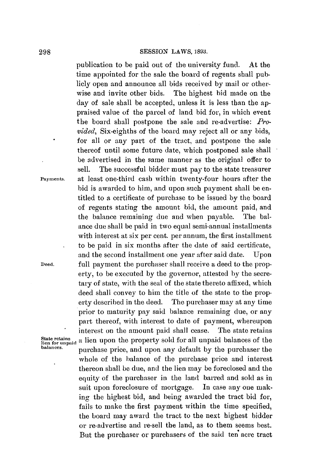## **298 SESSION** LAWS, **1893.**

publication to be paid out of the university fund. At the time appointed for the sale the board of regents shall publicly open and announce all bids received **by** mail or otherwise and invite other bids. The highest bid made on the day of sale shall **be** accepted, unless it is less than the appraised value of the parcel of land bid for, in which event the board shall postpone the sale and re-advertise: *Provided,* Six-eighths of the board may reject all or any bids, for all or any part of the tract, and postpone the sale thereof until some future date, which postponed sale shall be advertised in the same manner as the original offer to sell. The successful bidder must pay to the state treasurer **Payments.** at least one-third cash within twenty-four hours after the bid is awarded to him, and upon such payment shall be entitled to a certificate of purchase to be issued **by** the board of regents stating the amount bid, the amount paid, and the balance remaining due and when payable. The balance due shall be paid in two equal semi-annual installments with interest at six per cent. per annum, the first installment to be paid in six months after the date of said certificate, and the second installment one year after said date. Upon **Deed.** full payment the purchaser shall receive a deed to the property, to be executed **by** the governor, attested **by** the secretary of state, with the seal of the state thereto affixed, which deed shall convey to him the title of the state to the property described in the deed. The purchaser may at any time prior to maturity pay said balance remaining due, or any part thereof, with interest to date of payment, whereupon interest on the amount paid shall cease. The state retains State retains<br>lien for unpaid a lien upon the property sold for all unpaid balances of the<br>balances. **balances.** purchase price, and upon any default **by** the purchaser the whole of the balance of the purchase price and interest thereon shall **be** due, and the lien may be foreclosed and the equity of the purchaser in the land barred and sold as in suit upon foreclosure of mortgage. In case any one making the highest bid, and being awarded the tract bid for, fails to make the first payment within the time specified, the board may award the tract to the next highest bidder or re-advertise and re-sell the land, as to them seems best. But the purchaser or purchasers of the said ten acre tract

**State retains ,**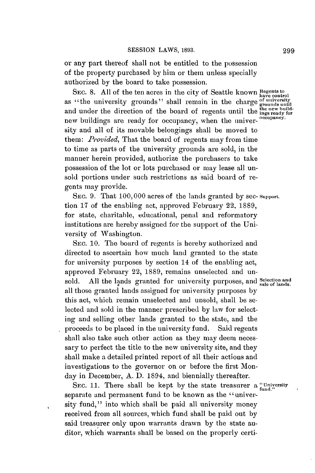or any part thereof shall not be entitled to the possession of the property purchased **by** him or them unless specially authorized **by** the board to take possession.

SEC. 8. All of the ten acres in the city of Seattle known **Regents** to have control as "the university grounds" shall remain in the charge *et* universed arounds u and under the direction of the board of regents until the the new build-<br>now buildings are weakly for accuracy when the unitage occupancy. new buildings are ready for occupancy, when the university and all of its movable belongings shall be moved to them: *Provided*, That the board of regents may from time to time as parts of the university grounds are sold, in the manner herein provided, authorize the purchasers to take possession of the lot or lots purchased or may lease all unsold portions under such restrictions as said board of regents may provide.

**SEc. 9.** That **100,000** acres of the lands granted **by** sec- **Support.** tion **17** of the enabling act, approved February 22, **1889,** for state, charitable, educational, penal and reformatory institutions are hereby assigned for the support of the University of Washington.

**SEC. 10.** The board of regents is hereby authorized and directed to ascertain how much land granted to the state for university purposes **by** section 14 of the enabling act, approved February 22, **1889,** remains unselected and unsold. All the lands granted for university purposes, and **Selection** and all those granted lands assigned for university purposes **by** this act, which remain unselected and unsold, shall be selected and sold in the manner prescribed **by** law for selecting and selling other lands granted to the state, and the proceeds to be placed in the university fund. Said regents shall also take such other action as they may deem necessary to perfect the title to the new university site, and they shall make a detailed printed report of all their actions and investigations to the governor on or before the first Monday in December, **A. D.** 1894, and biennially thereafter.

SEC. 11. There shall be kept by the state treasurer a "University" separate and permanent fund to be known as the "university fund," into which shall **be** paid all university money received from all sources, which fund shall be paid out **by** said treasurer only upon warrants drawn **by** the state auditor, which warrants shall be based on the properly certi-